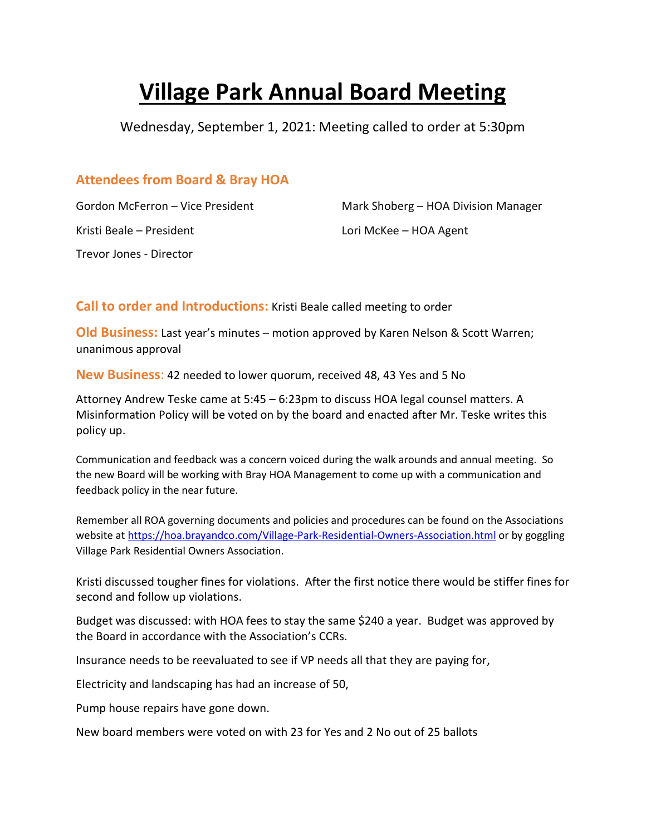## **Village Park Annual Board Meeting**

Wednesday, September 1, 2021: Meeting called to order at 5:30pm

## **Attendees from Board & Bray HOA**

Kristi Beale – President Lori McKee – HOA Agent Trevor Jones - Director

Gordon McFerron – Vice President Mark Shoberg – HOA Division Manager

**Call to order and Introductions:** Kristi Beale called meeting to order

**Old Business:** Last year's minutes – motion approved by Karen Nelson & Scott Warren; unanimous approval

**New Business**: 42 needed to lower quorum, received 48, 43 Yes and 5 No

Attorney Andrew Teske came at 5:45 – 6:23pm to discuss HOA legal counsel matters. A Misinformation Policy will be voted on by the board and enacted after Mr. Teske writes this policy up.

Communication and feedback was a concern voiced during the walk arounds and annual meeting. So the new Board will be working with Bray HOA Management to come up with a communication and feedback policy in the near future.

Remember all ROA governing documents and policies and procedures can be found on the Associations website at <https://hoa.brayandco.com/Village-Park-Residential-Owners-Association.html> or by goggling Village Park Residential Owners Association.

Kristi discussed tougher fines for violations. After the first notice there would be stiffer fines for second and follow up violations.

Budget was discussed: with HOA fees to stay the same \$240 a year. Budget was approved by the Board in accordance with the Association's CCRs.

Insurance needs to be reevaluated to see if VP needs all that they are paying for,

Electricity and landscaping has had an increase of 50,

Pump house repairs have gone down.

New board members were voted on with 23 for Yes and 2 No out of 25 ballots